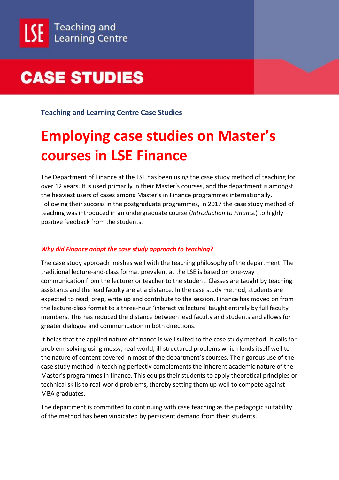**Teaching and Learning Centre Case Studies**

### **Employing case studies on Master's courses in LSE Finance**

The Department of Finance at the LSE has been using the case study method of teaching for over 12 years. It is used primarily in their Master's courses, and the department is amongst the heaviest users of cases among Master's in Finance programmes internationally. Following their success in the postgraduate programmes, in 2017 the case study method of teaching was introduced in an undergraduate course (*Introduction to Finance*) to highly positive feedback from the students.

### *Why did Finance adopt the case study approach to teaching?*

The case study approach meshes well with the teaching philosophy of the department. The traditional lecture-and-class format prevalent at the LSE is based on one-way communication from the lecturer or teacher to the student. Classes are taught by teaching assistants and the lead faculty are at a distance. In the case study method, students are expected to read, prep, write up and contribute to the session. Finance has moved on from the lecture-class format to a three-hour 'interactive lecture' taught entirely by full faculty members. This has reduced the distance between lead faculty and students and allows for greater dialogue and communication in both directions.

It helps that the applied nature of finance is well suited to the case study method. It calls for problem-solving using messy, real-world, ill-structured problems which lends itself well to the nature of content covered in most of the department's courses. The rigorous use of the case study method in teaching perfectly complements the inherent academic nature of the Master's programmes in finance. This equips their students to apply theoretical principles or technical skills to real-world problems, thereby setting them up well to compete against MBA graduates.

The department is committed to continuing with case teaching as the pedagogic suitability of the method has been vindicated by persistent demand from their students.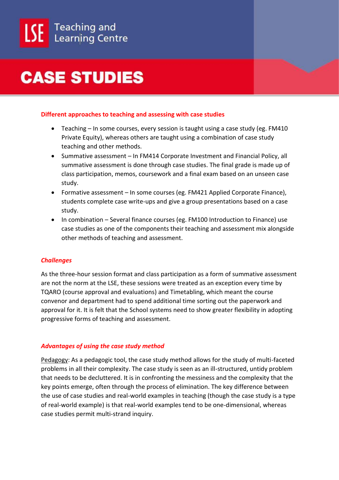

#### **Different approaches to teaching and assessing with case studies**

- Teaching In some courses, every session is taught using a case study (eg. FM410 Private Equity), whereas others are taught using a combination of case study teaching and other methods.
- Summative assessment In FM414 Corporate Investment and Financial Policy, all summative assessment is done through case studies. The final grade is made up of class participation, memos, coursework and a final exam based on an unseen case study.
- Formative assessment In some courses (eg. FM421 Applied Corporate Finance), students complete case write-ups and give a group presentations based on a case study.
- In combination Several finance courses (eg. FM100 Introduction to Finance) use case studies as one of the components their teaching and assessment mix alongside other methods of teaching and assessment.

### *Challenges*

As the three-hour session format and class participation as a form of summative assessment are not the norm at the LSE, these sessions were treated as an exception every time by TQARO (course approval and evaluations) and Timetabling, which meant the course convenor and department had to spend additional time sorting out the paperwork and approval for it. It is felt that the School systems need to show greater flexibility in adopting progressive forms of teaching and assessment.

#### *Advantages of using the case study method*

Pedagogy: As a pedagogic tool, the case study method allows for the study of multi-faceted problems in all their complexity. The case study is seen as an ill-structured, untidy problem that needs to be decluttered. It is in confronting the messiness and the complexity that the key points emerge, often through the process of elimination. The key difference between the use of case studies and real-world examples in teaching (though the case study is a type of real-world example) is that real-world examples tend to be one-dimensional, whereas case studies permit multi-strand inquiry.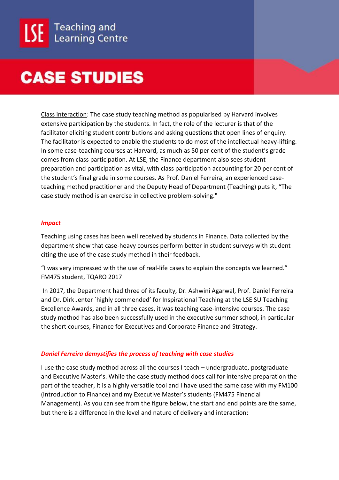Class interaction: The case study teaching method as popularised by Harvard involves extensive participation by the students. In fact, the role of the lecturer is that of the facilitator eliciting student contributions and asking questions that open lines of enquiry. The facilitator is expected to enable the students to do most of the intellectual heavy-lifting. In some case-teaching courses at Harvard, as much as 50 per cent of the student's grade comes from class participation. At LSE, the Finance department also sees student preparation and participation as vital, with class participation accounting for 20 per cent of the student's final grade in some courses. As Prof. Daniel Ferreira, an experienced caseteaching method practitioner and the Deputy Head of Department (Teaching) puts it, "The case study method is an exercise in collective problem-solving."

#### *Impact*

Teaching using cases has been well received by students in Finance. Data collected by the department show that case-heavy courses perform better in student surveys with student citing the use of the case study method in their feedback.

"I was very impressed with the use of real-life cases to explain the concepts we learned." FM475 student, TQARO 2017

In 2017, the Department had three of its faculty, Dr. Ashwini Agarwal, Prof. Daniel Ferreira and Dr. Dirk Jenter `highly commended' for Inspirational Teaching at the LSE SU Teaching Excellence Awards, and in all three cases, it was teaching case-intensive courses. The case study method has also been successfully used in the executive summer school, in particular the short courses, Finance for Executives and Corporate Finance and Strategy.

### *Daniel Ferreira demystifies the process of teaching with case studies*

I use the case study method across all the courses I teach – undergraduate, postgraduate and Executive Master's. While the case study method does call for intensive preparation the part of the teacher, it is a highly versatile tool and I have used the same case with my FM100 (Introduction to Finance) and my Executive Master's students (FM475 Financial Management). As you can see from the figure below, the start and end points are the same, but there is a difference in the level and nature of delivery and interaction: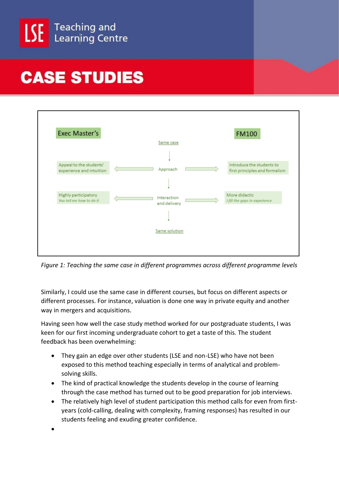



*Figure 1: Teaching the same case in different programmes across different programme levels*

Similarly, I could use the same case in different courses, but focus on different aspects or different processes. For instance, valuation is done one way in private equity and another way in mergers and acquisitions.

Having seen how well the case study method worked for our postgraduate students, I was keen for our first incoming undergraduate cohort to get a taste of this. The student feedback has been overwhelming:

- They gain an edge over other students (LSE and non-LSE) who have not been exposed to this method teaching especially in terms of analytical and problemsolving skills.
- The kind of practical knowledge the students develop in the course of learning through the case method has turned out to be good preparation for job interviews.
- The relatively high level of student participation this method calls for even from firstyears (cold-calling, dealing with complexity, framing responses) has resulted in our students feeling and exuding greater confidence.
- $\bullet$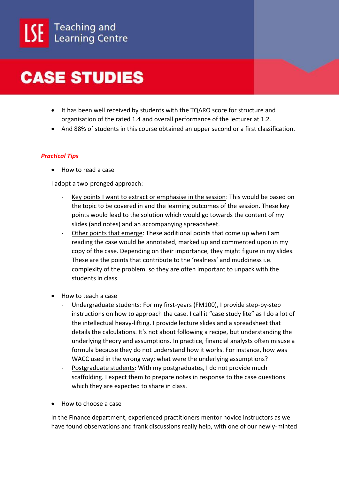

- It has been well received by students with the TQARO score for structure and organisation of the rated 1.4 and overall performance of the lecturer at 1.2.
- And 88% of students in this course obtained an upper second or a first classification.

#### *Practical Tips*

• How to read a case

I adopt a two-pronged approach:

- Key points I want to extract or emphasise in the session: This would be based on the topic to be covered in and the learning outcomes of the session. These key points would lead to the solution which would go towards the content of my slides (and notes) and an accompanying spreadsheet.
- Other points that emerge: These additional points that come up when I am reading the case would be annotated, marked up and commented upon in my copy of the case. Depending on their importance, they might figure in my slides. These are the points that contribute to the 'realness' and muddiness i.e. complexity of the problem, so they are often important to unpack with the students in class.
- How to teach a case
	- Undergraduate students: For my first-years (FM100), I provide step-by-step instructions on how to approach the case. I call it "case study lite" as I do a lot of the intellectual heavy-lifting. I provide lecture slides and a spreadsheet that details the calculations. It's not about following a recipe, but understanding the underlying theory and assumptions. In practice, financial analysts often misuse a formula because they do not understand how it works. For instance, how was WACC used in the wrong way; what were the underlying assumptions?
	- Postgraduate students: With my postgraduates, I do not provide much scaffolding. I expect them to prepare notes in response to the case questions which they are expected to share in class.
- How to choose a case

In the Finance department, experienced practitioners mentor novice instructors as we have found observations and frank discussions really help, with one of our newly-minted